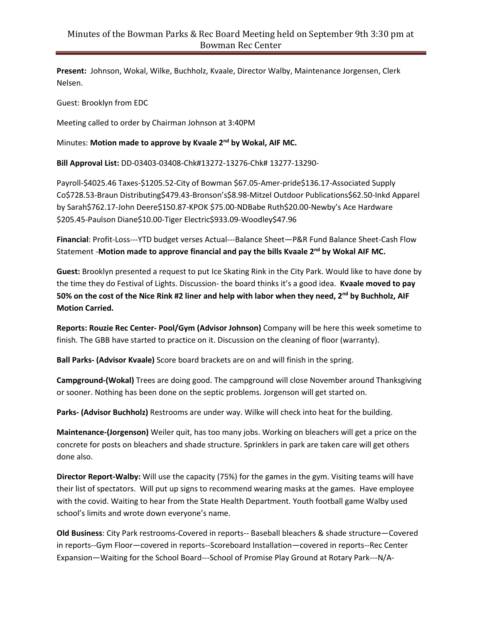**Present:** Johnson, Wokal, Wilke, Buchholz, Kvaale, Director Walby, Maintenance Jorgensen, Clerk Nelsen.

Guest: Brooklyn from EDC

Meeting called to order by Chairman Johnson at 3:40PM

Minutes: **Motion made to approve by Kvaale 2 nd by Wokal, AIF MC.**

**Bill Approval List:** DD-03403-03408-Chk#13272-13276-Chk# 13277-13290-

Payroll-\$4025.46 Taxes-\$1205.52-City of Bowman \$67.05-Amer-pride\$136.17-Associated Supply Co\$728.53-Braun Distributing\$479.43-Bronson's\$8.98-Mitzel Outdoor Publications\$62.50-Inkd Apparel by Sarah\$762.17-John Deere\$150.87-KPOK \$75.00-NDBabe Ruth\$20.00-Newby's Ace Hardware \$205.45-Paulson Diane\$10.00-Tiger Electric\$933.09-Woodley\$47.96

**Financial**: Profit-Loss---YTD budget verses Actual---Balance Sheet—P&R Fund Balance Sheet-Cash Flow Statement -**Motion made to approve financial and pay the bills Kvaale 2 nd by Wokal AIF MC.**

**Guest:** Brooklyn presented a request to put Ice Skating Rink in the City Park. Would like to have done by the time they do Festival of Lights. Discussion- the board thinks it's a good idea. **Kvaale moved to pay 50% on the cost of the Nice Rink #2 liner and help with labor when they need, 2nd by Buchholz, AIF Motion Carried.**

**Reports: Rouzie Rec Center- Pool/Gym (Advisor Johnson)** Company will be here this week sometime to finish. The GBB have started to practice on it. Discussion on the cleaning of floor (warranty).

**Ball Parks- (Advisor Kvaale)** Score board brackets are on and will finish in the spring.

**Campground-(Wokal)** Trees are doing good. The campground will close November around Thanksgiving or sooner. Nothing has been done on the septic problems. Jorgenson will get started on.

**Parks- (Advisor Buchholz)** Restrooms are under way. Wilke will check into heat for the building.

**Maintenance-(Jorgenson)** Weiler quit, has too many jobs. Working on bleachers will get a price on the concrete for posts on bleachers and shade structure. Sprinklers in park are taken care will get others done also.

**Director Report-Walby:** Will use the capacity (75%) for the games in the gym. Visiting teams will have their list of spectators. Will put up signs to recommend wearing masks at the games. Have employee with the covid. Waiting to hear from the State Health Department. Youth football game Walby used school's limits and wrote down everyone's name.

**Old Business**: City Park restrooms-Covered in reports-- Baseball bleachers & shade structure—Covered in reports--Gym Floor—covered in reports--Scoreboard Installation—covered in reports--Rec Center Expansion—Waiting for the School Board---School of Promise Play Ground at Rotary Park---N/A-